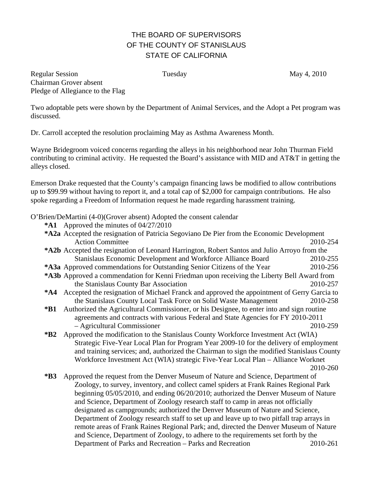## THE BOARD OF SUPERVISORS OF THE COUNTY OF STANISLAUS STATE OF CALIFORNIA

Regular Session **Tuesday** Tuesday May 4, 2010 Chairman Grover absent Pledge of Allegiance to the Flag

Two adoptable pets were shown by the Department of Animal Services, and the Adopt a Pet program was discussed.

Dr. Carroll accepted the resolution proclaiming May as Asthma Awareness Month.

Wayne Bridegroom voiced concerns regarding the alleys in his neighborhood near John Thurman Field contributing to criminal activity. He requested the Board's assistance with MID and AT&T in getting the alleys closed.

Emerson Drake requested that the County's campaign financing laws be modified to allow contributions up to \$99.99 without having to report it, and a total cap of \$2,000 for campaign contributions. He also spoke regarding a Freedom of Information request he made regarding harassment training.

O'Brien/DeMartini (4-0)(Grover absent) Adopted the consent calendar

**\*A1** Approved the minutes of 04/27/2010

|                                                                                                     | *A2a Accepted the resignation of Patricia Segoviano De Pier from the Economic Development      |          |  |
|-----------------------------------------------------------------------------------------------------|------------------------------------------------------------------------------------------------|----------|--|
|                                                                                                     | <b>Action Committee</b>                                                                        | 2010-254 |  |
| <b>*A2b</b> Accepted the resignation of Leonard Harrington, Robert Santos and Julio Arroyo from the |                                                                                                |          |  |
|                                                                                                     | Stanislaus Economic Development and Workforce Alliance Board                                   | 2010-255 |  |
|                                                                                                     | *A3a Approved commendations for Outstanding Senior Citizens of the Year                        | 2010-256 |  |
| *A3b Approved a commendation for Kenni Friedman upon receiving the Liberty Bell Award from          |                                                                                                |          |  |
|                                                                                                     | the Stanislaus County Bar Association                                                          | 2010-257 |  |
|                                                                                                     | *A4 Accepted the resignation of Michael Franck and approved the appointment of Gerry Garcia to |          |  |
|                                                                                                     | the Stanislaus County Local Task Force on Solid Waste Management                               | 2010-258 |  |
| *B1                                                                                                 | Authorized the Agricultural Commissioner, or his Designee, to enter into and sign routine      |          |  |
|                                                                                                     | agreements and contracts with various Federal and State Agencies for FY 2010-2011              |          |  |
|                                                                                                     | - Agricultural Commissioner                                                                    | 2010-259 |  |
| $*B2$                                                                                               | Approved the modification to the Stanislaus County Workforce Investment Act (WIA)              |          |  |
|                                                                                                     | Strategic Five-Year Local Plan for Program Year 2009-10 for the delivery of employment         |          |  |
|                                                                                                     | and training services; and, authorized the Chairman to sign the modified Stanislaus County     |          |  |
|                                                                                                     | Workforce Investment Act (WIA) strategic Five-Year Local Plan – Alliance Worknet               |          |  |
|                                                                                                     |                                                                                                | 2010-260 |  |
| $*B3$                                                                                               | Approved the request from the Denver Museum of Nature and Science, Department of               |          |  |
|                                                                                                     | Zoology, to survey, inventory, and collect camel spiders at Frank Raines Regional Park         |          |  |
|                                                                                                     | beginning 05/05/2010, and ending 06/20/2010; authorized the Denver Museum of Nature            |          |  |
|                                                                                                     | and Science, Department of Zoology research staff to camp in areas not officially              |          |  |

designated as campgrounds; authorized the Denver Museum of Nature and Science, Department of Zoology research staff to set up and leave up to two pitfall trap arrays in remote areas of Frank Raines Regional Park; and, directed the Denver Museum of Nature and Science, Department of Zoology, to adhere to the requirements set forth by the Department of Parks and Recreation – Parks and Recreation 2010-261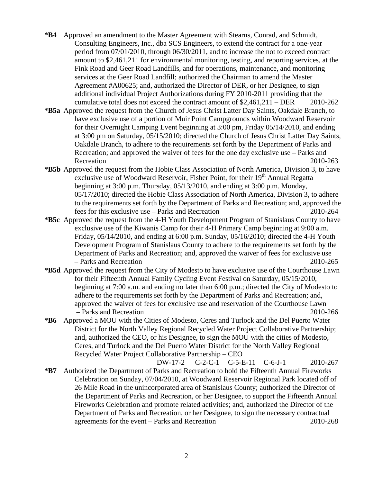- **\*B4** Approved an amendment to the Master Agreement with Stearns, Conrad, and Schmidt, Consulting Engineers, Inc., dba SCS Engineers, to extend the contract for a one-year period from 07/01/2010, through 06/30/2011, and to increase the not to exceed contract amount to \$2,461,211 for environmental monitoring, testing, and reporting services, at the Fink Road and Geer Road Landfills, and for operations, maintenance, and monitoring services at the Geer Road Landfill; authorized the Chairman to amend the Master Agreement #A00625; and, authorized the Director of DER, or her Designee, to sign additional individual Project Authorizations during FY 2010-2011 providing that the cumulative total does not exceed the contract amount of  $$2,461,211 - DER$  2010-262
- **\*B5a** Approved the request from the Church of Jesus Christ Latter Day Saints, Oakdale Branch, to have exclusive use of a portion of Muir Point Campgrounds within Woodward Reservoir for their Overnight Camping Event beginning at 3:00 pm, Friday 05/14/2010, and ending at 3:00 pm on Saturday, 05/15/2010; directed the Church of Jesus Christ Latter Day Saints, Oakdale Branch, to adhere to the requirements set forth by the Department of Parks and Recreation; and approved the waiver of fees for the one day exclusive use – Parks and Recreation 2010-263
- **\*B5b** Approved the request from the Hobie Class Association of North America, Division 3, to have exclusive use of Woodward Reservoir, Fisher Point, for their  $19<sup>th</sup>$  Annual Regatta beginning at 3:00 p.m. Thursday, 05/13/2010, and ending at 3:00 p.m. Monday, 05/17/2010; directed the Hobie Class Association of North America, Division 3, to adhere to the requirements set forth by the Department of Parks and Recreation; and, approved the fees for this exclusive use – Parks and Recreation 2010-264
- **\*B5c** Approved the request from the 4-H Youth Development Program of Stanislaus County to have exclusive use of the Kiwanis Camp for their 4-H Primary Camp beginning at 9:00 a.m. Friday, 05/14/2010, and ending at 6:00 p.m. Sunday, 05/16/2010; directed the 4-H Youth Development Program of Stanislaus County to adhere to the requirements set forth by the Department of Parks and Recreation; and, approved the waiver of fees for exclusive use – Parks and Recreation 2010-265
- **\*B5d** Approved the request from the City of Modesto to have exclusive use of the Courthouse Lawn for their Fifteenth Annual Family Cycling Event Festival on Saturday, 05/15/2010, beginning at 7:00 a.m. and ending no later than 6:00 p.m.; directed the City of Modesto to adhere to the requirements set forth by the Department of Parks and Recreation; and, approved the waiver of fees for exclusive use and reservation of the Courthouse Lawn – Parks and Recreation 2010-266
- **\*B6** Approved a MOU with the Cities of Modesto, Ceres and Turlock and the Del Puerto Water District for the North Valley Regional Recycled Water Project Collaborative Partnership; and, authorized the CEO, or his Designee, to sign the MOU with the cities of Modesto, Ceres, and Turlock and the Del Puerto Water District for the North Valley Regional Recycled Water Project Collaborative Partnership – CEO

DW-17-2 C-2-C-1 C-5-E-11 C-6-J-1 2010-267 **\*B7** Authorized the Department of Parks and Recreation to hold the Fifteenth Annual Fireworks Celebration on Sunday, 07/04/2010, at Woodward Reservoir Regional Park located off of 26 Mile Road in the unincorporated area of Stanislaus County; authorized the Director of the Department of Parks and Recreation, or her Designee, to support the Fifteenth Annual Fireworks Celebration and promote related activities; and, authorized the Director of the Department of Parks and Recreation, or her Designee, to sign the necessary contractual agreements for the event – Parks and Recreation 2010-268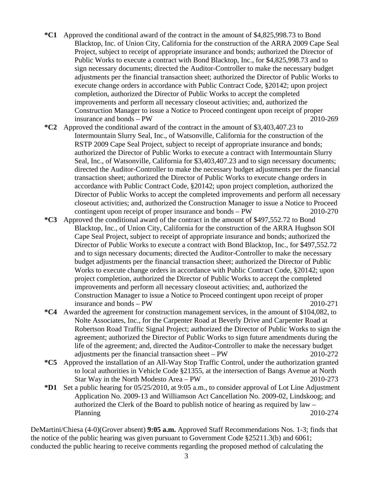- **\*C1** Approved the conditional award of the contract in the amount of \$4,825,998.73 to Bond Blacktop, Inc. of Union City, California for the construction of the ARRA 2009 Cape Seal Project, subject to receipt of appropriate insurance and bonds; authorized the Director of Public Works to execute a contract with Bond Blacktop, Inc., for \$4,825,998.73 and to sign necessary documents; directed the Auditor-Controller to make the necessary budget adjustments per the financial transaction sheet; authorized the Director of Public Works to execute change orders in accordance with Public Contract Code, §20142; upon project completion, authorized the Director of Public Works to accept the completed improvements and perform all necessary closeout activities; and, authorized the Construction Manager to issue a Notice to Proceed contingent upon receipt of proper insurance and bonds – PW 2010-269
- **\*C2** Approved the conditional award of the contract in the amount of \$3,403,407.23 to Intermountain Slurry Seal, Inc., of Watsonville, California for the construction of the RSTP 2009 Cape Seal Project, subject to receipt of appropriate insurance and bonds; authorized the Director of Public Works to execute a contract with Intermountain Slurry Seal, Inc., of Watsonville, California for \$3,403,407.23 and to sign necessary documents; directed the Auditor-Controller to make the necessary budget adjustments per the financial transaction sheet; authorized the Director of Public Works to execute change orders in accordance with Public Contract Code, §20142; upon project completion, authorized the Director of Public Works to accept the completed improvements and perform all necessary closeout activities; and, authorized the Construction Manager to issue a Notice to Proceed contingent upon receipt of proper insurance and bonds – PW 2010-270
- **\*C3** Approved the conditional award of the contract in the amount of \$497,552.72 to Bond Blacktop, Inc., of Union City, California for the construction of the ARRA Hughson SOI Cape Seal Project, subject to receipt of appropriate insurance and bonds; authorized the Director of Public Works to execute a contract with Bond Blacktop, Inc., for \$497,552.72 and to sign necessary documents; directed the Auditor-Controller to make the necessary budget adjustments per the financial transaction sheet; authorized the Director of Public Works to execute change orders in accordance with Public Contract Code, §20142; upon project completion, authorized the Director of Public Works to accept the completed improvements and perform all necessary closeout activities; and, authorized the Construction Manager to issue a Notice to Proceed contingent upon receipt of proper insurance and bonds – PW 2010-271
- **\*C4** Awarded the agreement for construction management services, in the amount of \$104,082, to Nolte Associates, Inc., for the Carpenter Road at Beverly Drive and Carpenter Road at Robertson Road Traffic Signal Project; authorized the Director of Public Works to sign the agreement; authorized the Director of Public Works to sign future amendments during the life of the agreement; and, directed the Auditor-Controller to make the necessary budget adjustments per the financial transaction sheet – PW 2010-272
- **\*C5** Approved the installation of an All-Way Stop Traffic Control, under the authorization granted to local authorities in Vehicle Code §21355, at the intersection of Bangs Avenue at North Star Way in the North Modesto Area – PW 2010-273
- **\*D1** Set a public hearing for 05/25/2010, at 9:05 a.m., to consider approval of Lot Line Adjustment Application No. 2009-13 and Williamson Act Cancellation No. 2009-02, Lindskoog; and authorized the Clerk of the Board to publish notice of hearing as required by law – Planning 2010-274

DeMartini/Chiesa (4-0)(Grover absent) **9:05 a.m.** Approved Staff Recommendations Nos. 1-3; finds that the notice of the public hearing was given pursuant to Government Code §25211.3(b) and 6061; conducted the public hearing to receive comments regarding the proposed method of calculating the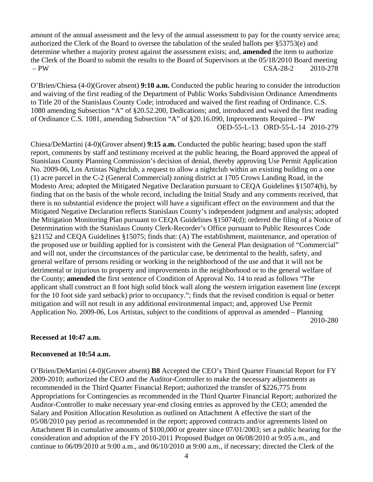amount of the annual assessment and the levy of the annual assessment to pay for the county service area; authorized the Clerk of the Board to oversee the tabulation of the sealed ballots per §53753(e) and determine whether a majority protest against the assessment exists; and, **amended** the item to authorize the Clerk of the Board to submit the results to the Board of Supervisors at the 05/18/2010 Board meeting – PW CSA-28-2 2010-278

O'Brien/Chiesa (4-0)(Grover absent) **9:10 a.m.** Conducted the public hearing to consider the introduction and waiving of the first reading of the Department of Public Works Subdivision Ordinance Amendments to Title 20 of the Stanislaus County Code; introduced and waived the first reading of Ordinance. C.S. 1080 amending Subsection "A" of §20.52.200, Dedications; and, introduced and waived the first reading of Ordinance C.S. 1081, amending Subsection "A" of §20.16.090, Improvements Required – PW OED-55-L-13 ORD-55-L-14 2010-279

Chiesa/DeMartini (4-0)(Grover absent) **9:15 a.m.** Conducted the public hearing; based upon the staff report, comments by staff and testimony received at the public hearing, the Board approved the appeal of Stanislaus County Planning Commission's decision of denial, thereby approving Use Permit Application No. 2009-06, Los Artistas Nightclub, a request to allow a nightclub within an existing building on a one (1) acre parcel in the C-2 (General Commercial) zoning district at 1705 Crows Landing Road, in the Modesto Area; adopted the Mitigated Negative Declaration pursuant to CEQA Guidelines §15074(b), by finding that on the basis of the whole record, including the Initial Study and any comments received, that there is no substantial evidence the project will have a significant effect on the environment and that the Mitigated Negative Declaration reflects Stanislaus County's independent judgment and analysis; adopted the Mitigation Monitoring Plan pursuant to CEQA Guidelines §15074(d); ordered the filing of a Notice of Determination with the Stanislaus County Clerk-Recorder's Office pursuant to Public Resources Code §21152 and CEQA Guidelines §15075; finds that: (A) The establishment, maintenance, and operation of the proposed use or building applied for is consistent with the General Plan designation of "Commercial" and will not, under the circumstances of the particular case, be detrimental to the health, safety, and general welfare of persons residing or working in the neighborhood of the use and that it will not be detrimental or injurious to property and improvements in the neighborhood or to the general welfare of the County; **amended** the first sentence of Condition of Approval No. 14 to read as follows "The applicant shall construct an 8 foot high solid block wall along the western irrigation easement line (except for the 10 foot side yard setback) prior to occupancy."; finds that the revised condition is equal or better mitigation and will not result in any additional environmental impact; and, approved Use Permit Application No. 2009-06, Los Artistas, subject to the conditions of approval as amended – Planning 2010-280

## **Recessed at 10:47 a.m.**

## **Reconvened at 10:54 a.m.**

O'Brien/DeMartini (4-0)(Grover absent) **B8** Accepted the CEO's Third Quarter Financial Report for FY 2009-2010; authorized the CEO and the Auditor-Controller to make the necessary adjustments as recommended in the Third Quarter Financial Report; authorized the transfer of \$226,775 from Appropriations for Contingencies as recommended in the Third Quarter Financial Report; authorized the Auditor-Controller to make necessary year-end closing entries as approved by the CEO; amended the Salary and Position Allocation Resolution as outlined on Attachment A effective the start of the 05/08/2010 pay period as recommended in the report; approved contracts and/or agreements listed on Attachment B in cumulative amounts of \$100,000 or greater since 07/01/2003; set a public hearing for the consideration and adoption of the FY 2010-2011 Proposed Budget on 06/08/2010 at 9:05 a.m., and continue to 06/09/2010 at 9:00 a.m., and 06/10/2010 at 9:00 a.m., if necessary; directed the Clerk of the